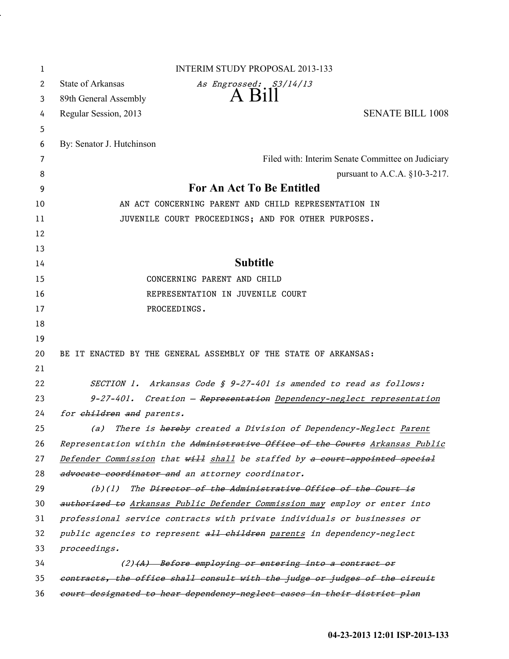| 1                     | <b>INTERIM STUDY PROPOSAL 2013-133</b>                                        |
|-----------------------|-------------------------------------------------------------------------------|
| $\mathbf{2}^{\prime}$ | <b>State of Arkansas</b><br>As Engrossed: S3/14/13                            |
| 3                     | B1II<br>89th General Assembly                                                 |
| 4                     | <b>SENATE BILL 1008</b><br>Regular Session, 2013                              |
| 5                     |                                                                               |
| 6                     | By: Senator J. Hutchinson                                                     |
| 7                     | Filed with: Interim Senate Committee on Judiciary                             |
| 8                     | pursuant to A.C.A. $§10-3-217$ .                                              |
| 9                     | For An Act To Be Entitled                                                     |
| 10                    | AN ACT CONCERNING PARENT AND CHILD REPRESENTATION IN                          |
| 11                    | JUVENILE COURT PROCEEDINGS; AND FOR OTHER PURPOSES.                           |
| 12                    |                                                                               |
| 13                    |                                                                               |
| 14                    | <b>Subtitle</b>                                                               |
| 15                    | CONCERNING PARENT AND CHILD                                                   |
| 16                    | REPRESENTATION IN JUVENILE COURT                                              |
| 17                    | PROCEEDINGS.                                                                  |
| 18                    |                                                                               |
| 19                    |                                                                               |
| 20                    | BE IT ENACTED BY THE GENERAL ASSEMBLY OF THE STATE OF ARKANSAS:               |
| 21                    |                                                                               |
| 22                    | SECTION 1. Arkansas Code § 9-27-401 is amended to read as follows:            |
| 23                    | 9-27-401. Creation - Representation Dependency-neglect representation         |
| 24                    | for children and parents.                                                     |
| 25                    | There is hereby created a Division of Dependency-Neglect Parent<br>(a)        |
| 26                    | Representation within the Administrative Office of the Courts Arkansas Public |
| 27                    | Defender Commission that will shall be staffed by a court appointed special   |
| 28                    | advocate coordinator and an attorney coordinator.                             |
| 29                    | The Director of the Administrative Office of the Court is<br>(b)(1)           |
| 30                    | authorized to Arkansas Public Defender Commission may employ or enter into    |
| 31                    | professional service contracts with private individuals or businesses or      |
| 32                    | public agencies to represent all children parents in dependency-neglect       |
| 33                    | proceedings.                                                                  |
| 34                    | (2)(A) Before employing or entering into a contract or                        |
| 35                    | contracts, the office shall consult with the judge or judges of the circuit   |
| 36                    | eourt designated to hear dependency neglect cases in their district plan      |

i,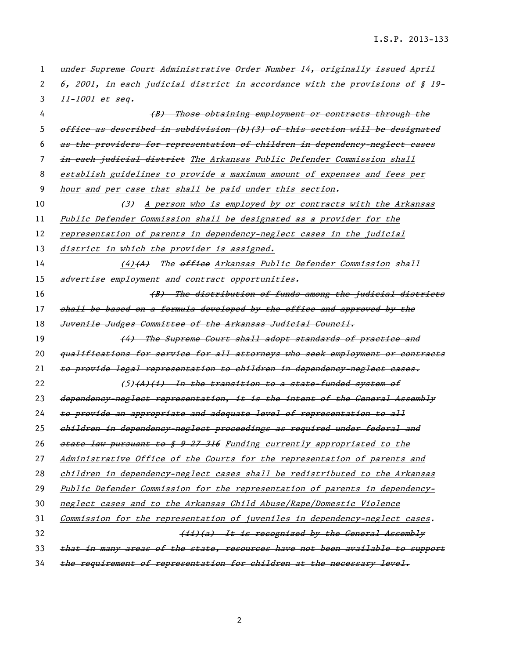| 1  | under Supreme Court Administrative Order Number 14, originally issued April   |
|----|-------------------------------------------------------------------------------|
| 2  | 6, 2001, in each judicial district in accordance with the provisions of § 19- |
| 3  | $11 - 1001$ et seq.                                                           |
| 4  | (B) Those obtaining employment or contracts through the                       |
| 5  | office as described in subdivision (b)(3) of this section will be designated  |
| 6  | as the providers for representation of children in dependency-neglect cases   |
| 7  | in each judicial district The Arkansas Public Defender Commission shall       |
| 8  | establish guidelines to provide a maximum amount of expenses and fees per     |
| 9  | hour and per case that shall be paid under this section.                      |
| 10 | A person who is employed by or contracts with the Arkansas<br>(3)             |
| 11 | Public Defender Commission shall be designated as a provider for the          |
| 12 | representation of parents in dependency-neglect cases in the judicial         |
| 13 | district in which the provider is assigned.                                   |
| 14 | (4)(A) The office Arkansas Public Defender Commission shall                   |
| 15 | advertise employment and contract opportunities.                              |
| 16 | (B) The distribution of funds among the judicial districts                    |
| 17 | shall be based on a formula developed by the office and approved by the       |
|    |                                                                               |
| 18 | Juvenile Judges Committee of the Arkansas Judicial Council.                   |
| 19 | (4) The Supreme Court shall adopt standards of practice and                   |
| 20 | qualifications for service for all attorneys who seek employment or contracts |
| 21 | to provide legal representation to children in dependency neglect cases.      |
| 22 | $(5)$ $(A)$ $(i)$ In the transition to a state-funded system of               |
| 23 | dependency-neglect representation, it is the intent of the General Assembly   |
| 24 | to provide an appropriate and adequate level of representation to all         |
| 25 | ehildren in dependeney-negleet proceedings as required under federal and      |
| 26 | state law pursuant to § 9-27-316 Funding currently appropriated to the        |
| 27 | Administrative Office of the Courts for the representation of parents and     |
| 28 | children in dependency-neglect cases shall be redistributed to the Arkansas   |
| 29 | Public Defender Commission for the representation of parents in dependency-   |
| 30 | neglect cases and to the Arkansas Child Abuse/Rape/Domestic Violence          |
| 31 | Commission for the representation of juveniles in dependency-neglect cases.   |
| 32 | (ii)(a) It is recognized by the General Assembly                              |
| 33 | that in many areas of the state, resources have not been available to support |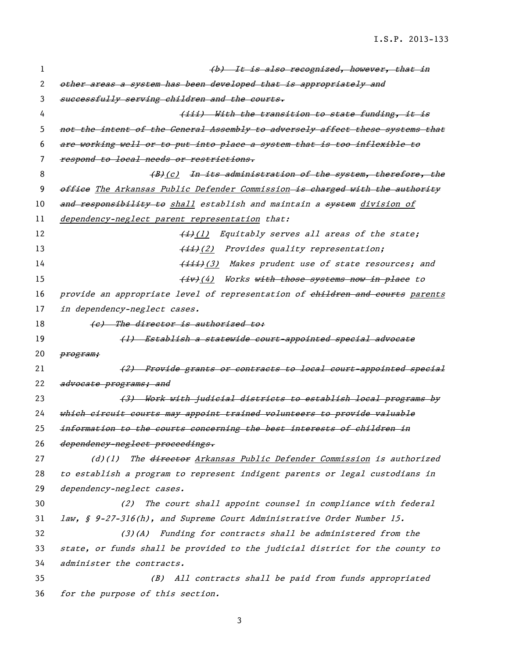I.S.P. 2013-133

| 1  | (b) It is also recognized, however, that in                                   |
|----|-------------------------------------------------------------------------------|
| 2  | other areas a system has been developed that is appropriately and             |
| 3  | successfully serving children and the courts.                                 |
| 4  | <del>(iii) With the transition to state funding, it is</del>                  |
| 5. | not the intent of the General Assembly to adversely affect these systems that |
| 6  | are working well or to put into place a system that is too inflexible to      |
| 7  | respond to local needs or restrictions.                                       |
| 8  | (B)(c) In its administration of the system, therefore, the                    |
| 9  | office The Arkansas Public Defender Commission-is charged with the authority  |
| 10 | and responsibility to shall establish and maintain a system division of       |
| 11 | dependency-neglect parent representation that:                                |
| 12 | $\frac{f_{ij}(1)}{f_{ij}}$ Equitably serves all areas of the state;           |
| 13 | (ii)(2) Provides quality representation;                                      |
| 14 | (iii)(3) Makes prudent use of state resources; and                            |
| 15 | <del>(iv)</del> (4) Works <del>with those systems now in place</del> to       |
| 16 | provide an appropriate level of representation of ehildren and courts parents |
| 17 | in dependency-neglect cases.                                                  |
| 18 | (e) The director is authorized to:                                            |
| 19 | (1) Establish a statewide court-appointed special advocate                    |
| 20 | <del>program;</del>                                                           |
| 21 | (2) Provide grants or contracts to local court appointed special              |
| 22 | <del>advocate programs; and</del>                                             |
| 23 | (3) Work with judicial districts to establish local programs by               |
| 24 | which circuit courts may appoint trained volunteers to provide valuable       |
| 25 | information to the courts concerning the best interests of children in        |
| 26 | dependency-neglect proceedings.                                               |
| 27 | (d)(1) The director Arkansas Public Defender Commission is authorized         |
| 28 | to establish a program to represent indigent parents or legal custodians in   |
| 29 | dependency-neglect cases.                                                     |
| 30 | The court shall appoint counsel in compliance with federal<br>(2)             |
| 31 | law, § 9-27-316(h), and Supreme Court Administrative Order Number 15.         |
| 32 | Funding for contracts shall be administered from the<br>$(3)$ $(A)$           |
| 33 | state, or funds shall be provided to the judicial district for the county to  |
| 34 | administer the contracts.                                                     |
| 35 | All contracts shall be paid from funds appropriated<br>(B)                    |
| 36 | for the purpose of this section.                                              |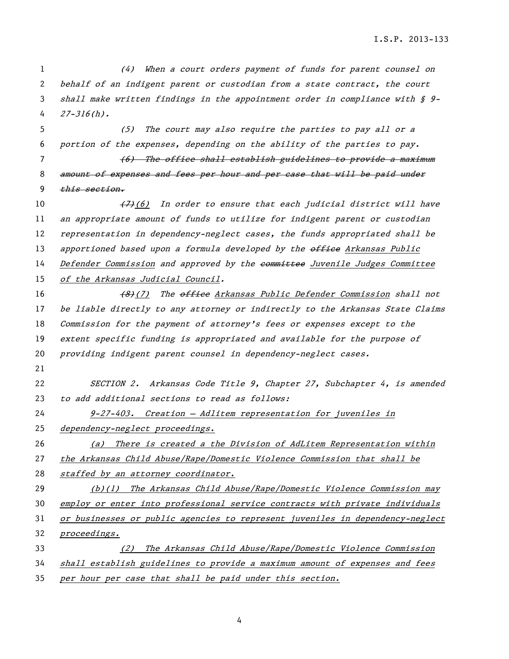(4) When a court orders payment of funds for parent counsel on behalf of an indigent parent or custodian from a state contract, the court shall make written findings in the appointment order in compliance with § 9-  $27 - 316(h)$ .

 (5) The court may also require the parties to pay all or a portion of the expenses, depending on the ability of the parties to pay.

7 (6) The office shall establish guidelines to provide a maximum 8 amount of expenses and fees per hour and per case that will be paid under 9 this section.

 $(7)$  (6) In order to ensure that each judicial district will have an appropriate amount of funds to utilize for indigent parent or custodian representation in dependency-neglect cases, the funds appropriated shall be 13 apportioned based upon a formula developed by the office Arkansas Public 14 Defender Commission and approved by the committee Juvenile Judges Committee of the Arkansas Judicial Council.

16 (8)(7) The office Arkansas Public Defender Commission shall not be liable directly to any attorney or indirectly to the Arkansas State Claims Commission for the payment of attorney's fees or expenses except to the extent specific funding is appropriated and available for the purpose of providing indigent parent counsel in dependency-neglect cases.

 SECTION 2. Arkansas Code Title 9, Chapter 27, Subchapter 4, is amended to add additional sections to read as follows:

 9-27-403. Creation — Adlitem representation for juveniles in dependency-neglect proceedings.

26 (a) There is created a the Division of AdLitem Representation within

the Arkansas Child Abuse/Rape/Domestic Violence Commission that shall be

28 staffed by an attorney coordinator.

(b)(1) The Arkansas Child Abuse/Rape/Domestic Violence Commission may

30 employ or enter into professional service contracts with private individuals

 or businesses or public agencies to represent juveniles in dependency-neglect proceedings.

(2) The Arkansas Child Abuse/Rape/Domestic Violence Commission

shall establish guidelines to provide a maximum amount of expenses and fees

per hour per case that shall be paid under this section.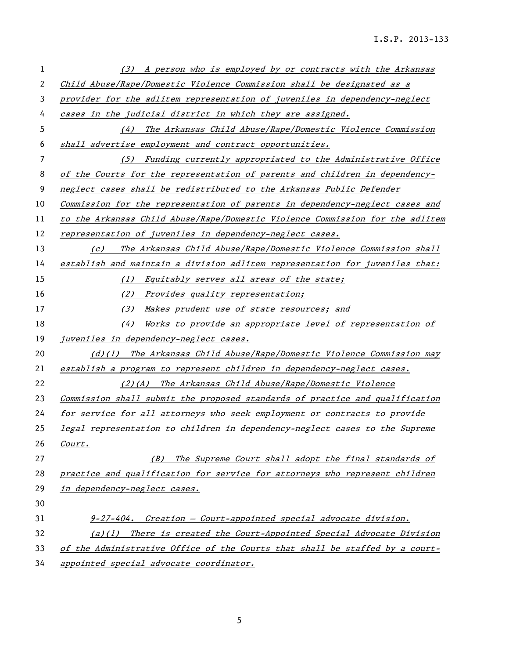| 1  | (3) A person who is employed by or contracts with the Arkansas                        |
|----|---------------------------------------------------------------------------------------|
| 2  | Child Abuse/Rape/Domestic Violence Commission shall be designated as a                |
| 3  | provider for the adlitem representation of juveniles in dependency-neglect            |
| 4  | cases in the judicial district in which they are assigned.                            |
| 5  | The Arkansas Child Abuse/Rape/Domestic Violence Commission<br>(4)                     |
| 6  | shall advertise employment and contract opportunities.                                |
| 7  | (5) Funding currently appropriated to the Administrative Office                       |
| 8  | of the Courts for the representation of parents and children in dependency-           |
| 9  | neglect cases shall be redistributed to the Arkansas Public Defender                  |
| 10 | Commission for the representation of parents in dependency-neglect cases and          |
| 11 | to the Arkansas Child Abuse/Rape/Domestic Violence Commission for the adlitem         |
| 12 | representation of juveniles in dependency-neglect cases.                              |
| 13 | The Arkansas Child Abuse/Rape/Domestic Violence Commission shall<br>$\left( c\right)$ |
| 14 | establish and maintain a division adlitem representation for juveniles that:          |
| 15 | Equitably serves all areas of the state;<br>(1)                                       |
| 16 | (2) Provides quality representation;                                                  |
| 17 | Makes prudent use of state resources; and<br>(3)                                      |
| 18 | Works to provide an appropriate level of representation of<br>(4)                     |
| 19 | juveniles in dependency-neglect cases.                                                |
| 20 | (d)(1) The Arkansas Child Abuse/Rape/Domestic Violence Commission may                 |
| 21 | establish a program to represent children in dependency-neglect cases.                |
| 22 | (2)(A) The Arkansas Child Abuse/Rape/Domestic Violence                                |
| 23 | Commission shall submit the proposed standards of practice and qualification          |
| 24 | for service for all attorneys who seek employment or contracts to provide             |
| 25 | legal representation to children in dependency-neglect cases to the Supreme           |
| 26 | Court.                                                                                |
| 27 | The Supreme Court shall adopt the final standards of<br>(B)                           |
| 28 | practice and qualification for service for attorneys who represent children           |
| 29 | in dependency-neglect cases.                                                          |
| 30 |                                                                                       |
| 31 | 9-27-404. Creation - Court-appointed special advocate division.                       |
| 32 | There is created the Court-Appointed Special Advocate Division<br>(a)(1)              |
| 33 | of the Administrative Office of the Courts that shall be staffed by a court-          |
| 34 | appointed special advocate coordinator.                                               |